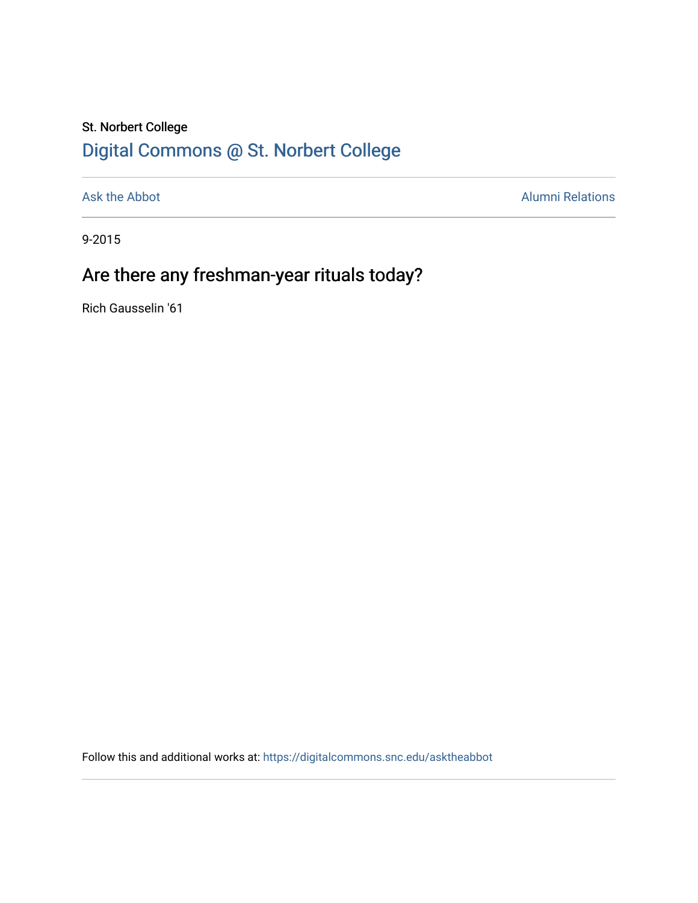## St. Norbert College [Digital Commons @ St. Norbert College](https://digitalcommons.snc.edu/)

[Ask the Abbot](https://digitalcommons.snc.edu/asktheabbot) **Alumni Relations** Alumni Relations

9-2015

## Are there any freshman-year rituals today?

Rich Gausselin '61

Follow this and additional works at: [https://digitalcommons.snc.edu/asktheabbot](https://digitalcommons.snc.edu/asktheabbot?utm_source=digitalcommons.snc.edu%2Fasktheabbot%2F97&utm_medium=PDF&utm_campaign=PDFCoverPages)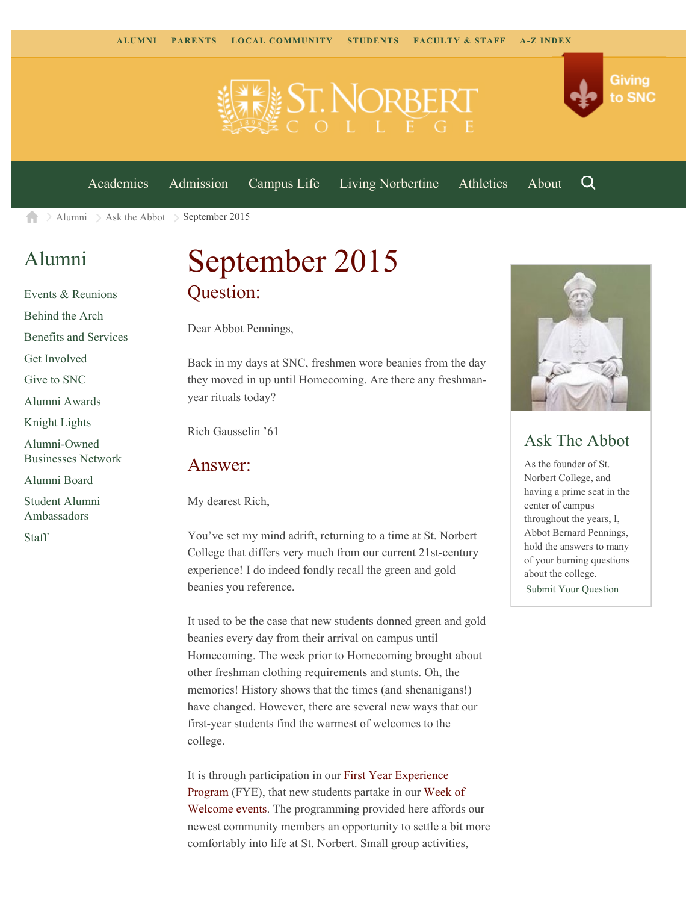

[Academics](https://www.snc.edu/academics) [Admission](https://www.snc.edu/admission) [Campus Life](https://www.snc.edu/campuslife) [Living Norbertine](https://www.snc.edu/livingnorbertine) [Athletics](https://www.snc.edu/athletics) [About](https://www.snc.edu/about)

Q

Giving

to SNC

[Alumni](https://www.snc.edu/alumni/) [Ask the Abbot](https://www.snc.edu/alumni/abbot/) September 2015 A

### [Alumni](https://www.snc.edu/alumni/index.html)

[Events & Reunions](https://www.snc.edu/alumni/event/index.html) [Behind the Arch](https://www.snc.edu/alumni/event/behindthearch/) [Benefits and Services](https://www.snc.edu/alumni/benefits.html) [Get Involved](https://www.snc.edu/alumni/getinvolved.html) [Give to SNC](http://giving.snc.edu/) [Alumni Awards](https://www.snc.edu/alumni/awards/index.html) [Knight Lights](https://www.snc.edu/alumni/knightlights/index.html) [Alumni-Owned](https://www.snc.edu/alumni/directory/index.html) [Businesses Network](https://www.snc.edu/alumni/directory/index.html) [Alumni Board](https://www.snc.edu/alumni/alumniboard.html) [Student Alumni](https://www.snc.edu/alumni/saa.html) [Ambassadors](https://www.snc.edu/alumni/saa.html)

[Staff](https://www.snc.edu/alumni/contactus.html)

# September 2015 Question:

Dear Abbot Pennings,

Back in my days at SNC, freshmen wore beanies from the day they moved in up until Homecoming. Are there any freshmanyear rituals today?

Rich Gausselin '61

#### Answer:

My dearest Rich,

You've set my mind adrift, returning to a time at St. Norbert College that differs very much from our current 21st-century experience! I do indeed fondly recall the green and gold beanies you reference.

It used to be the case that new students donned green and gold beanies every day from their arrival on campus until Homecoming. The week prior to Homecoming brought about other freshman clothing requirements and stunts. Oh, the memories! History shows that the times (and shenanigans!) have changed. However, there are several new ways that our first-year students find the warmest of welcomes to the college.

It is through participation in our [First Year Experience](http://www.snc.edu/fye/) [Program](http://www.snc.edu/fye/) (FYE), that new students partake in our [Week of](http://www.snc.edu/fye/weekofwelcome.html) [Welcome events](http://www.snc.edu/fye/weekofwelcome.html). The programming provided here affords our newest community members an opportunity to settle a bit more comfortably into life at St. Norbert. Small group activities,



### Ask The Abbot

As the founder of St. Norbert College, and having a prime seat in the center of campus throughout the years, I, Abbot Bernard Pennings, hold the answers to many of your burning questions about the college. [Submit Your Question](https://www.snc.edu/alumni/abbot/index.html)